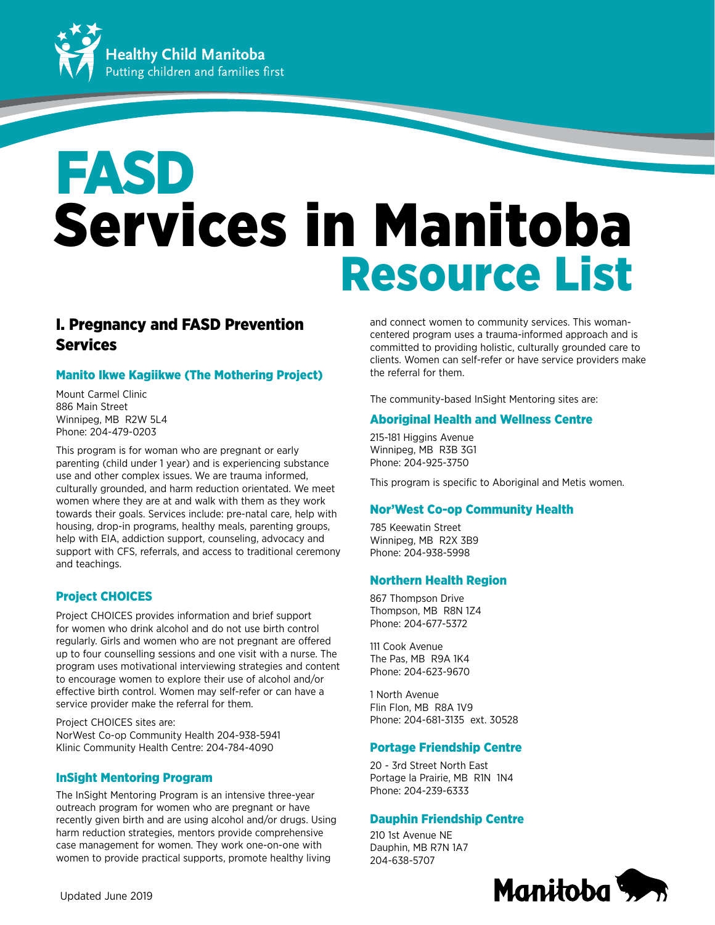

# Services in Manitoba Resource List FASD

# I. Pregnancy and FASD Prevention **Services**

# Manito Ikwe Kagiikwe (The Mothering Project)

Mount Carmel Clinic 886 Main Street Winnipeg, MB R2W 5L4 Phone: 204-479-0203

This program is for woman who are pregnant or early parenting (child under 1 year) and is experiencing substance use and other complex issues. We are trauma informed, culturally grounded, and harm reduction orientated. We meet women where they are at and walk with them as they work towards their goals. Services include: pre-natal care, help with housing, drop-in programs, healthy meals, parenting groups, help with EIA, addiction support, counseling, advocacy and support with CFS, referrals, and access to traditional ceremony and teachings.

# Project CHOICES

Project CHOICES provides information and brief support for women who drink alcohol and do not use birth control regularly. Girls and women who are not pregnant are offered up to four counselling sessions and one visit with a nurse. The program uses motivational interviewing strategies and content to encourage women to explore their use of alcohol and/or effective birth control. Women may self-refer or can have a service provider make the referral for them.

Project CHOICES sites are: NorWest Co-op Community Health 204-938-5941 Klinic Community Health Centre: 204-784-4090

# InSight Mentoring Program

The InSight Mentoring Program is an intensive three-year outreach program for women who are pregnant or have recently given birth and are using alcohol and/or drugs. Using harm reduction strategies, mentors provide comprehensive case management for women. They work one-on-one with women to provide practical supports, promote healthy living

and connect women to community services. This womancentered program uses a trauma-informed approach and is committed to providing holistic, culturally grounded care to clients. Women can self-refer or have service providers make the referral for them.

The community-based InSight Mentoring sites are:

# Aboriginal Health and Wellness Centre

215-181 Higgins Avenue Winnipeg, MB R3B 3G1 Phone: 204-925-3750

This program is specific to Aboriginal and Metis women.

# Nor'West Co-op Community Health

785 Keewatin Street Winnipeg, MB R2X 3B9 Phone: 204-938-5998

# Northern Health Region

867 Thompson Drive Thompson, MB R8N 1Z4 Phone: 204-677-5372

111 Cook Avenue The Pas, MB R9A 1K4 Phone: 204-623-9670

1 North Avenue Flin Flon, MB R8A 1V9 Phone: 204-681-3135 ext. 30528

# Portage Friendship Centre

20 - 3rd Street North East Portage la Prairie, MB R1N 1N4 Phone: 204-239-6333

# Dauphin Friendship Centre

210 1st Avenue NE Dauphin, MB R7N 1A7 204-638-5707

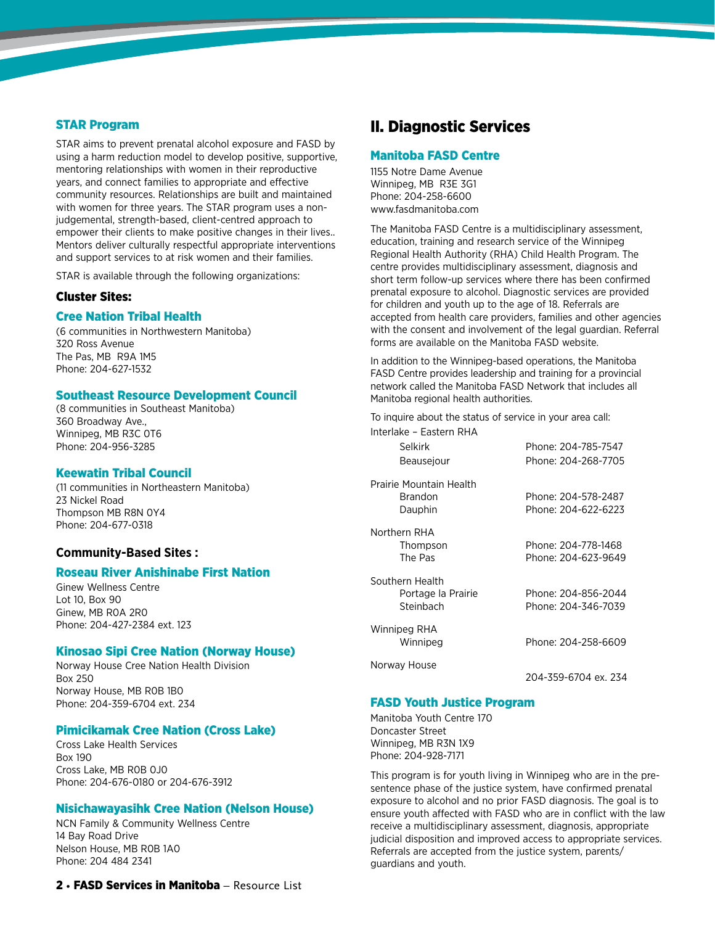# STAR Program

STAR aims to prevent prenatal alcohol exposure and FASD by using a harm reduction model to develop positive, supportive, mentoring relationships with women in their reproductive years, and connect families to appropriate and effective community resources. Relationships are built and maintained with women for three years. The STAR program uses a nonjudgemental, strength-based, client-centred approach to empower their clients to make positive changes in their lives.. Mentors deliver culturally respectful appropriate interventions and support services to at risk women and their families.

STAR is available through the following organizations:

#### Cluster Sites:

#### Cree Nation Tribal Health

(6 communities in Northwestern Manitoba) 320 Ross Avenue The Pas, MB R9A 1M5 Phone: 204-627-1532

#### Southeast Resource Development Council

(8 communities in Southeast Manitoba) 360 Broadway Ave., Winnipeg, MB R3C 0T6 Phone: 204-956-3285

#### Keewatin Tribal Council

(11 communities in Northeastern Manitoba) 23 Nickel Road Thompson MB R8N 0Y4 Phone: 204-677-0318

# **Community-Based Sites :**

# Roseau River Anishinabe First Nation

Ginew Wellness Centre Lot 10, Box 90 Ginew, MB R0A 2R0 Phone: 204-427-2384 ext. 123

#### Kinosao Sipi Cree Nation (Norway House)

Norway House Cree Nation Health Division Box 250 Norway House, MB R0B 1B0 Phone: 204-359-6704 ext. 234

#### Pimicikamak Cree Nation (Cross Lake)

Cross Lake Health Services Box 190 Cross Lake, MB R0B 0J0 Phone: 204-676-0180 or 204-676-3912

#### Nisichawayasihk Cree Nation (Nelson House)

NCN Family & Community Wellness Centre 14 Bay Road Drive Nelson House, MB R0B 1A0 Phone: 204 484 2341

# II. Diagnostic Services

# Manitoba FASD Centre

1155 Notre Dame Avenue Winnipeg, MB R3E 3G1 Phone: 204-258-6600 <www.fasdmanitoba.com>

The Manitoba FASD Centre is a multidisciplinary assessment, education, training and research service of the Winnipeg Regional Health Authority (RHA) Child Health Program. The centre provides multidisciplinary assessment, diagnosis and short term follow-up services where there has been confirmed prenatal exposure to alcohol. Diagnostic services are provided for children and youth up to the age of 18. Referrals are accepted from health care providers, families and other agencies with the consent and involvement of the legal guardian. Referral forms are available on the Manitoba FASD website.

In addition to the Winnipeg-based operations, the Manitoba FASD Centre provides leadership and training for a provincial network called the Manitoba FASD Network that includes all Manitoba regional health authorities.

To inquire about the status of service in your area call: Interlake – Eastern RHA

| <u>LUJULII IN IA</u><br>Selkirk<br>Beausejour      | Phone: 204-785-7547<br>Phone: 204-268-7705 |
|----------------------------------------------------|--------------------------------------------|
| Prairie Mountain Health<br>Brandon<br>Dauphin      | Phone: 204-578-2487<br>Phone: 204-622-6223 |
| Northern RHA<br>Thompson<br>The Pas                | Phone: 204-778-1468<br>Phone: 204-623-9649 |
| Southern Health<br>Portage la Prairie<br>Steinbach | Phone: 204-856-2044<br>Phone: 204-346-7039 |
| Winnipeg RHA<br>Winnipeg                           | Phone: 204-258-6609                        |
| Norway House                                       | 204-359-6704 ex. 234                       |

# FASD Youth Justice Program

Manitoba Youth Centre 170 Doncaster Street Winnipeg, MB R3N 1X9 Phone: 204-928-7171

This program is for youth living in Winnipeg who are in the presentence phase of the justice system, have confirmed prenatal exposure to alcohol and no prior FASD diagnosis. The goal is to ensure youth affected with FASD who are in conflict with the law receive a multidisciplinary assessment, diagnosis, appropriate judicial disposition and improved access to appropriate services. Referrals are accepted from the justice system, parents/ guardians and youth.

# 2 • FASD Services in Manitoba – Resource List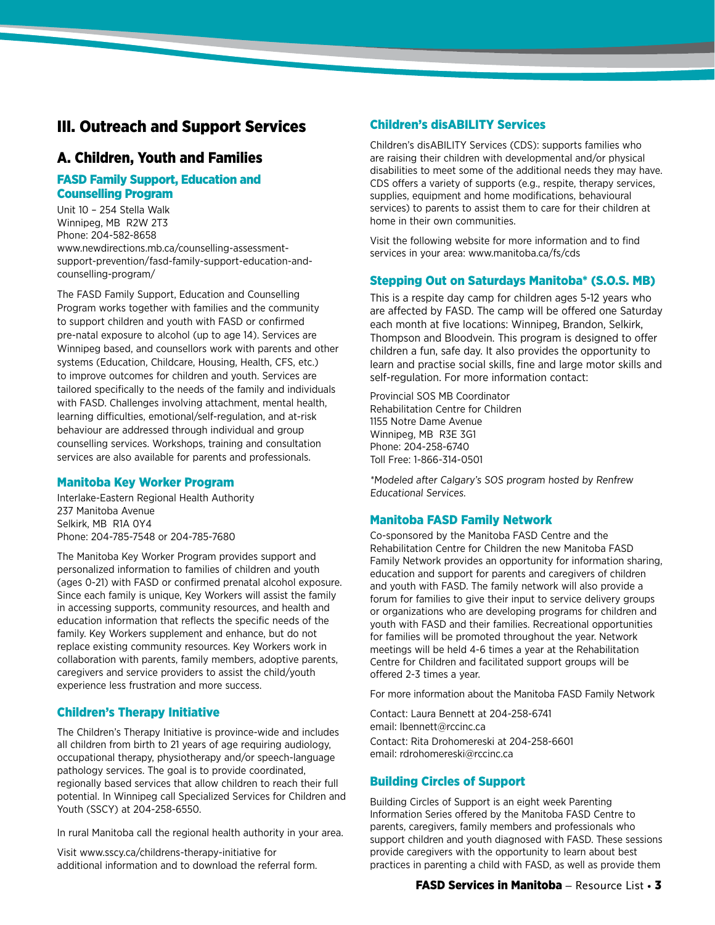# III. Outreach and Support Services

# A. Children, Youth and Families

# FASD Family Support, Education and Counselling Program

Unit 10 – 254 Stella Walk Winnipeg, MB R2W 2T3 Phone: 204-582-8658 [www.newdirections.mb.ca/counselling-assessment](www.newdirections.mb.ca/counselling-assessment-
support-prevention/ fasd-family-support-education-and-counselling-program/)[support-prevention/fasd-family-support-education-and](www.newdirections.mb.ca/counselling-assessment-
support-prevention/ fasd-family-support-education-and-counselling-program/)[counselling-program/](www.newdirections.mb.ca/counselling-assessment-
support-prevention/ fasd-family-support-education-and-counselling-program/)

The FASD Family Support, Education and Counselling Program works together with families and the community to support children and youth with FASD or confirmed pre-natal exposure to alcohol (up to age 14). Services are Winnipeg based, and counsellors work with parents and other systems (Education, Childcare, Housing, Health, CFS, etc.) to improve outcomes for children and youth. Services are tailored specifically to the needs of the family and individuals with FASD. Challenges involving attachment, mental health, learning difficulties, emotional/self-regulation, and at-risk behaviour are addressed through individual and group counselling services. Workshops, training and consultation services are also available for parents and professionals.

# Manitoba Key Worker Program

Interlake-Eastern Regional Health Authority 237 Manitoba Avenue Selkirk, MB R1A 0Y4 Phone: 204-785-7548 or 204-785-7680

The Manitoba Key Worker Program provides support and personalized information to families of children and youth (ages 0-21) with FASD or confirmed prenatal alcohol exposure. Since each family is unique, Key Workers will assist the family in accessing supports, community resources, and health and education information that reflects the specific needs of the family. Key Workers supplement and enhance, but do not replace existing community resources. Key Workers work in collaboration with parents, family members, adoptive parents, caregivers and service providers to assist the child/youth experience less frustration and more success.

# Children's Therapy Initiative

The Children's Therapy Initiative is province-wide and includes all children from birth to 21 years of age requiring audiology, occupational therapy, physiotherapy and/or speech-language pathology services. The goal is to provide coordinated, regionally based services that allow children to reach their full potential. In Winnipeg call Specialized Services for Children and Youth (SSCY) at 204-258-6550.

In rural Manitoba call the regional health authority in your area.

Visit<www.sscy.ca/childrens-therapy-initiative> for additional information and to download the referral form.

# Children's disABILITY Services

Children's disABILITY Services (CDS): supports families who are raising their children with developmental and/or physical disabilities to meet some of the additional needs they may have. CDS offers a variety of supports (e.g., respite, therapy services, supplies, equipment and home modifications, behavioural services) to parents to assist them to care for their children at home in their own communities.

Visit the following website for more information and to find services in your area: <www.manitoba.ca/fs/cds>

# Stepping Out on Saturdays Manitoba\* (S.O.S. MB)

This is a respite day camp for children ages 5-12 years who are affected by FASD. The camp will be offered one Saturday each month at five locations: Winnipeg, Brandon, Selkirk, Thompson and Bloodvein. This program is designed to offer children a fun, safe day. It also provides the opportunity to learn and practise social skills, fine and large motor skills and self-regulation. For more information contact:

Provincial SOS MB Coordinator Rehabilitation Centre for Children 1155 Notre Dame Avenue Winnipeg, MB R3E 3G1 Phone: 204-258-6740 Toll Free: 1-866-314-0501

\*Modeled after Calgary's SOS program hosted by Renfrew Educational Services.

# Manitoba FASD Family Network

Co-sponsored by the Manitoba FASD Centre and the Rehabilitation Centre for Children the new Manitoba FASD Family Network provides an opportunity for information sharing, education and support for parents and caregivers of children and youth with FASD. The family network will also provide a forum for families to give their input to service delivery groups or organizations who are developing programs for children and youth with FASD and their families. Recreational opportunities for families will be promoted throughout the year. Network meetings will be held 4-6 times a year at the Rehabilitation Centre for Children and facilitated support groups will be offered 2-3 times a year.

For more information about the Manitoba FASD Family Network

Contact: Laura Bennett at 204-258-6741 email: [lbennett@rccinc.ca](mailto:lbennett%40rccinc.ca?subject=) Contact: Rita Drohomereski at 204-258-6601 email: [rdrohomereski@rccinc.ca](mailto:rdrohomereski%40rccinc.ca?subject=)

# Building Circles of Support

Building Circles of Support is an eight week Parenting Information Series offered by the Manitoba FASD Centre to parents, caregivers, family members and professionals who support children and youth diagnosed with FASD. These sessions provide caregivers with the opportunity to learn about best practices in parenting a child with FASD, as well as provide them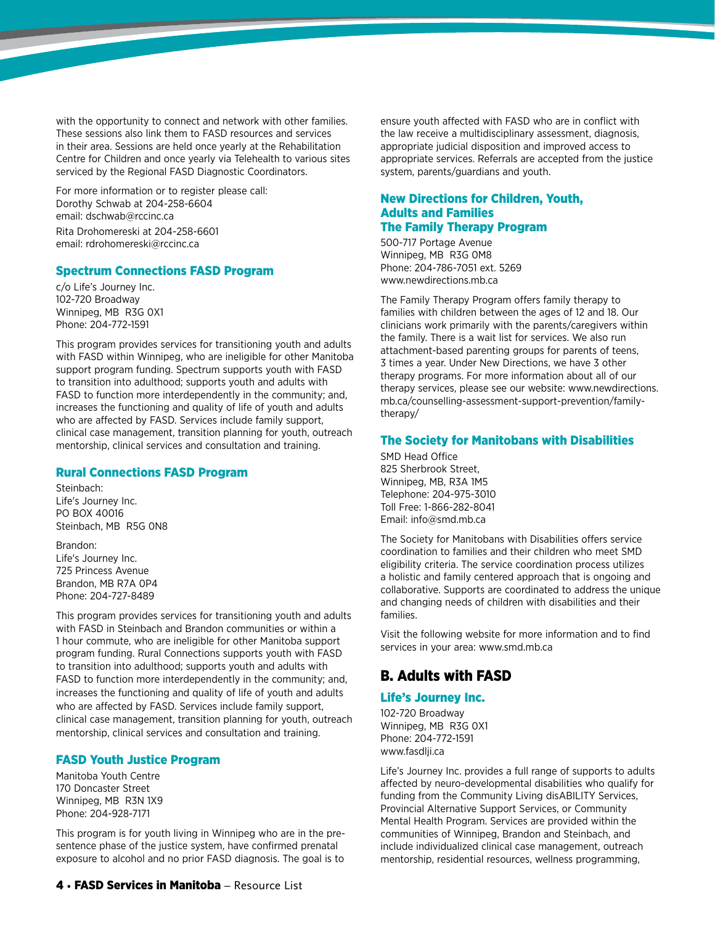with the opportunity to connect and network with other families. These sessions also link them to FASD resources and services in their area. Sessions are held once yearly at the Rehabilitation Centre for Children and once yearly via Telehealth to various sites serviced by the Regional FASD Diagnostic Coordinators.

For more information or to register please call: Dorothy Schwab at 204-258-6604 email: [dschwab@rccinc.ca](mailto:dschwab%40rccinc.ca%20?subject=)  Rita Drohomereski at 204-258-6601 email: [rdrohomereski@rccinc.ca](mailto:rdrohomereski%40rccinc.ca?subject=)

#### Spectrum Connections FASD Program

c/o Life's Journey Inc. 102-720 Broadway Winnipeg, MB R3G 0X1 Phone: 204-772-1591

This program provides services for transitioning youth and adults with FASD within Winnipeg, who are ineligible for other Manitoba support program funding. Spectrum supports youth with FASD to transition into adulthood; supports youth and adults with FASD to function more interdependently in the community; and, increases the functioning and quality of life of youth and adults who are affected by FASD. Services include family support, clinical case management, transition planning for youth, outreach mentorship, clinical services and consultation and training.

#### Rural Connections FASD Program

Steinbach: Life's Journey Inc. PO BOX 40016 Steinbach, MB R5G 0N8

Brandon: Life's Journey Inc. 725 Princess Avenue Brandon, MB R7A 0P4 Phone: 204-727-8489

This program provides services for transitioning youth and adults with FASD in Steinbach and Brandon communities or within a 1 hour commute, who are ineligible for other Manitoba support program funding. Rural Connections supports youth with FASD to transition into adulthood; supports youth and adults with FASD to function more interdependently in the community; and, increases the functioning and quality of life of youth and adults who are affected by FASD. Services include family support, clinical case management, transition planning for youth, outreach mentorship, clinical services and consultation and training.

# FASD Youth Justice Program

Manitoba Youth Centre 170 Doncaster Street Winnipeg, MB R3N 1X9 Phone: 204-928-7171

This program is for youth living in Winnipeg who are in the presentence phase of the justice system, have confirmed prenatal exposure to alcohol and no prior FASD diagnosis. The goal is to

ensure youth affected with FASD who are in conflict with the law receive a multidisciplinary assessment, diagnosis, appropriate judicial disposition and improved access to appropriate services. Referrals are accepted from the justice system, parents/guardians and youth.

# New Directions for Children, Youth, Adults and Families The Family Therapy Program

500-717 Portage Avenue Winnipeg, MB R3G 0M8 Phone: 204-786-7051 ext. 5269 <www.newdirections.mb.ca>

The Family Therapy Program offers family therapy to families with children between the ages of 12 and 18. Our clinicians work primarily with the parents/caregivers within the family. There is a wait list for services. We also run attachment-based parenting groups for parents of teens, 3 times a year. Under New Directions, we have 3 other therapy programs. For more information about all of our therapy services, please see our website: [www.newdirections.](www.newdirections.mb.ca/counselling-assessment-support-prevention/family-therapy/) [mb.ca/counselling-assessment-support-prevention/family](www.newdirections.mb.ca/counselling-assessment-support-prevention/family-therapy/)[therapy/](www.newdirections.mb.ca/counselling-assessment-support-prevention/family-therapy/)

#### The Society for Manitobans with Disabilities

SMD Head Office 825 Sherbrook Street, Winnipeg, MB, R3A 1M5 Telephone: 204-975-3010 Toll Free: 1-866-282-8041 Email: [info@smd.mb.ca](mailto:info%40smd.mb.ca?subject=)

The Society for Manitobans with Disabilities offers service coordination to families and their children who meet SMD eligibility criteria. The service coordination process utilizes a holistic and family centered approach that is ongoing and collaborative. Supports are coordinated to address the unique and changing needs of children with disabilities and their families.

Visit the following website for more information and to find services in your area: <www.smd.mb.ca>

# B. Adults with FASD

# Life's Journey Inc.

102-720 Broadway Winnipeg, MB R3G 0X1 Phone: 204-772-1591 <www.fasdlji.ca>

Life's Journey Inc. provides a full range of supports to adults affected by neuro-developmental disabilities who qualify for funding from the Community Living disABILITY Services, Provincial Alternative Support Services, or Community Mental Health Program. Services are provided within the communities of Winnipeg, Brandon and Steinbach, and include individualized clinical case management, outreach mentorship, residential resources, wellness programming,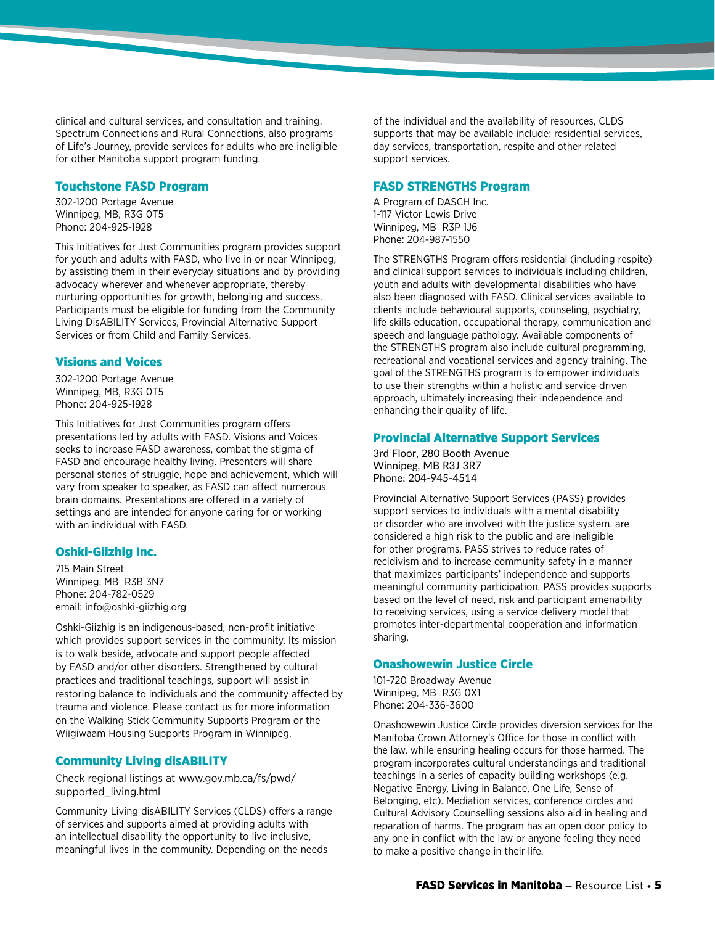clinical and cultural services, and consultation and training. Spectrum Connections and Rural Connections, also programs of Life's Journey, provide services for adults who are ineligible for other Manitoba support program funding.

#### Touchstone FASD Program

302-1200 Portage Avenue Winnipeg, MB, R3G 0T5 Phone: 204-925-1928

This Initiatives for Just Communities program provides support for youth and adults with FASD, who live in or near Winnipeg, by assisting them in their everyday situations and by providing advocacy wherever and whenever appropriate, thereby nurturing opportunities for growth, belonging and success. Participants must be eligible for funding from the Community Living DisABILITY Services, Provincial Alternative Support Services or from Child and Family Services.

#### Visions and Voices

302-1200 Portage Avenue Winnipeg, MB, R3G 0T5 Phone: 204-925-1928

This Initiatives for Just Communities program offers presentations led by adults with FASD. Visions and Voices seeks to increase FASD awareness, combat the stigma of FASD and encourage healthy living. Presenters will share personal stories of struggle, hope and achievement, which will vary from speaker to speaker, as FASD can affect numerous brain domains. Presentations are offered in a variety of settings and are intended for anyone caring for or working with an individual with FASD.

# Oshki-Giizhig Inc.

715 Main Street Winnipeg, MB R3B 3N7 Phone: 204-782-0529 email: [info@oshki-giizhig.org](mailto:info%40oshki-giizhig.org?subject=)

Oshki-Giizhig is an indigenous-based, non-profit initiative which provides support services in the community. Its mission is to walk beside, advocate and support people affected by FASD and/or other disorders. Strengthened by cultural practices and traditional teachings, support will assist in restoring balance to individuals and the community affected by trauma and violence. Please contact us for more information on the Walking Stick Community Supports Program or the Wiigiwaam Housing Supports Program in Winnipeg.

# Community Living disABILITY

Check regional listings at [www.gov.mb.ca/fs/pwd/](www.gov.mb.ca/fs/pwd/supported_living.html) [supported\\_living.html](www.gov.mb.ca/fs/pwd/supported_living.html)

Community Living disABILITY Services (CLDS) offers a range of services and supports aimed at providing adults with an intellectual disability the opportunity to live inclusive, meaningful lives in the community. Depending on the needs

of the individual and the availability of resources, CLDS supports that may be available include: residential services, day services, transportation, respite and other related support services.

# FASD STRENGTHS Program

A Program of DASCH Inc. 1-117 Victor Lewis Drive Winnipeg, MB R3P 1J6 Phone: 204-987-1550

The STRENGTHS Program offers residential (including respite) and clinical support services to individuals including children, youth and adults with developmental disabilities who have also been diagnosed with FASD. Clinical services available to clients include behavioural supports, counseling, psychiatry, life skills education, occupational therapy, communication and speech and language pathology. Available components of the STRENGTHS program also include cultural programming, recreational and vocational services and agency training. The goal of the STRENGTHS program is to empower individuals to use their strengths within a holistic and service driven approach, ultimately increasing their independence and enhancing their quality of life.

#### Provincial Alternative Support Services

3rd Floor, 280 Booth Avenue Winnipeg, MB R3J 3R7 Phone: 204-945-4514

Provincial Alternative Support Services (PASS) provides support services to individuals with a mental disability or disorder who are involved with the justice system, are considered a high risk to the public and are ineligible for other programs. PASS strives to reduce rates of recidivism and to increase community safety in a manner that maximizes participants' independence and supports meaningful community participation. PASS provides supports based on the level of need, risk and participant amenability to receiving services, using a service delivery model that promotes inter-departmental cooperation and information sharing.

# Onashowewin Justice Circle

101-720 Broadway Avenue Winnipeg, MB R3G 0X1 Phone: 204-336-3600

Onashowewin Justice Circle provides diversion services for the Manitoba Crown Attorney's Office for those in conflict with the law, while ensuring healing occurs for those harmed. The program incorporates cultural understandings and traditional teachings in a series of capacity building workshops (e.g. Negative Energy, Living in Balance, One Life, Sense of Belonging, etc). Mediation services, conference circles and Cultural Advisory Counselling sessions also aid in healing and reparation of harms. The program has an open door policy to any one in conflict with the law or anyone feeling they need to make a positive change in their life.